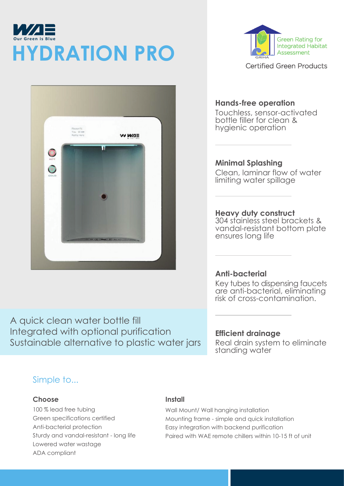# И/ДЕ **Our Green is Blue HYDRATION PRO**



**Green Rating for Integrated Habitat** Assessment

**Certified Green Products** 

### **Hands-free operation**

Touchless, sensor-activated bottle filler for clean & hygienic operation

**Minimal Splashing** Clean, laminar flow of water limiting water spillage

**Heavy duty construct** 304 stainless steel brackets & vandal-resistant bottom plate ensures long life

### **Anti-bacterial**

Key tubes to dispensing faucets are anti-bacterial, eliminating risk of cross-contamination.

A quick clean water bottle fill Integrated with optional purification Sustainable alternative to plastic water jars

**Efficient drainage**

Real drain system to eliminate standing water

### Simple to...

#### **Choose**

100 % lead free tubing Green specifications certified Anti-bacterial protection Sturdy and vandal-resistant - long life Lowered water wastage ADA compliant

#### **Install**

Wall Mount/ Wall hanging installation Mounting frame - simple and quick installation Easy integration with backend purification Paired with WAE remote chillers within 10-15 ft of unit